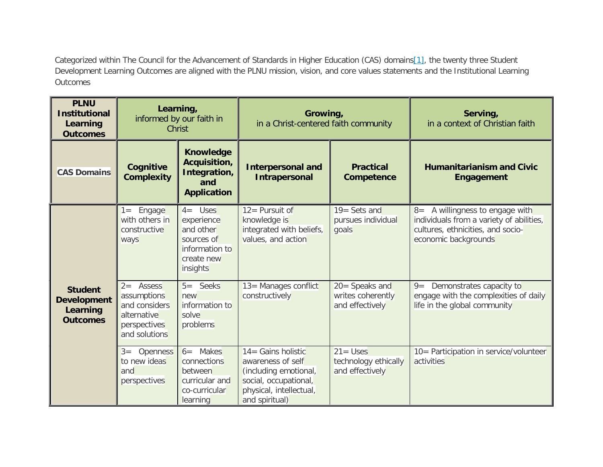Categorized within The Council for the Advancement of Standards in Higher Education (CAS) domain[s\[1\],](http://assessment.pointloma.edu/co-curricular-assessment/student-development/student-learning-outcomes/#_ftn1) the twenty three Student Development Learning Outcomes are aligned with the PLNU mission, vision, and core values statements and the Institutional Learning Outcomes

| <b>PLNU</b><br><b>Institutional</b><br>Learning<br><b>Outcomes</b>  | Learning,<br>informed by our faith in<br>Christ                                              |                                                                                                 | Growing,<br>in a Christ-centered faith community                                                                                          |                                                         | Serving,<br>in a context of Christian faith                                                                                                 |
|---------------------------------------------------------------------|----------------------------------------------------------------------------------------------|-------------------------------------------------------------------------------------------------|-------------------------------------------------------------------------------------------------------------------------------------------|---------------------------------------------------------|---------------------------------------------------------------------------------------------------------------------------------------------|
| <b>CAS Domains</b>                                                  | Cognitive<br><b>Complexity</b>                                                               | <b>Knowledge</b><br>Acquisition,<br>Integration,<br>and<br><b>Application</b>                   | <b>Interpersonal and</b><br>Intrapersonal                                                                                                 | <b>Practical</b><br>Competence                          | <b>Humanitarianism and Civic</b><br><b>Engagement</b>                                                                                       |
| <b>Student</b><br><b>Development</b><br>Learning<br><b>Outcomes</b> | Engage<br>$1 =$<br>with others in<br>constructive<br>ways                                    | $4 =$ Uses<br>experience<br>and other<br>sources of<br>information to<br>create new<br>insights | $12 =$ Pursuit of<br>knowledge is<br>integrated with beliefs,<br>values, and action                                                       | $19 = Sets$ and<br>pursues individual<br>goals          | $8 =$ A willingness to engage with<br>individuals from a variety of abilities,<br>cultures, ethnicities, and socio-<br>economic backgrounds |
|                                                                     | $2 =$ Assess<br>assumptions<br>and considers<br>alternative<br>perspectives<br>and solutions | $5=$<br>Seeks<br>new<br>information to<br>solve<br>problems                                     | 13= Manages conflict<br>constructively                                                                                                    | 20 = Speaks and<br>writes coherently<br>and effectively | Demonstrates capacity to<br>$9=$<br>engage with the complexities of daily<br>life in the global community                                   |
|                                                                     | $3 =$ Openness<br>to new ideas<br>and<br>perspectives                                        | $6 =$ Makes<br>connections<br>between<br>curricular and<br>co-curricular<br>learning            | $14 =$ Gains holistic<br>awareness of self<br>(including emotional,<br>social, occupational,<br>physical, intellectual,<br>and spiritual) | $21 =$ Uses<br>technology ethically<br>and effectively  | 10= Participation in service/volunteer<br>activities                                                                                        |